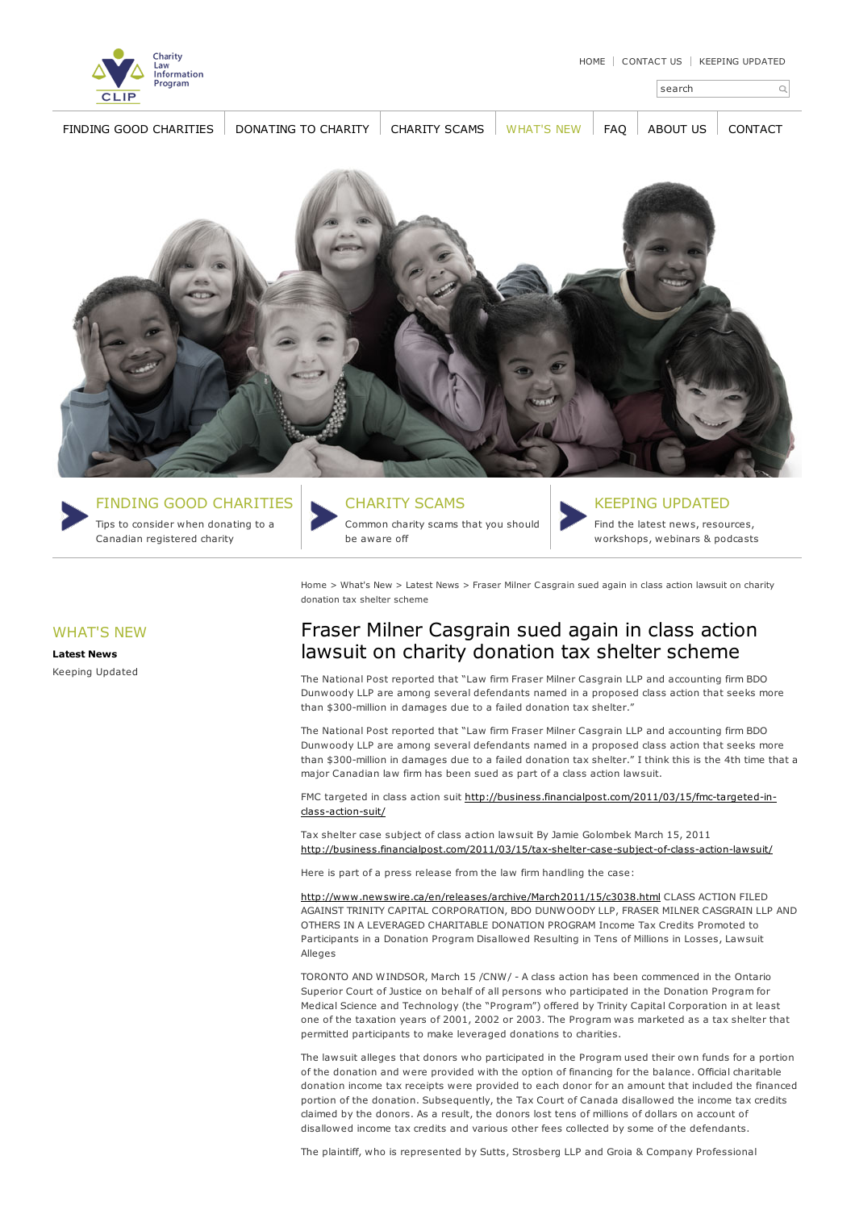search

 $\alpha$ 



FINDING GOOD [CHARITIES](http://www.smartgiving.ca/finding-good-charities/) [DONATING](http://www.smartgiving.ca/donate-to-charity/) TO [CHARITY](http://www.smartgiving.ca/charity-scams/) CHARITY SCAMS [WHAT'S](http://www.smartgiving.ca/whats-new/) NEW FAO [ABOUT](http://www.smartgiving.ca/about-us/) US [CONTACT](http://www.smartgiving.ca/contact-us/)





WHAT'S NEW **[Latest](http://www.smartgiving.ca/whats-new/news/) News** Keeping [Updated](http://www.smartgiving.ca/whats-new/keeping-updated/)

FINDING GOOD [CHARITIES](http://www.smartgiving.ca/finding-good-charities)

Tips to consider when donating to a Canadian registered charity

## [CHARITY](http://www.smartgiving.ca/charity-scams) SCAMS

Common charity scams that you should be aware off



## KEEPING [UPDATED](http://www.smartgiving.ca/whats-new/keeping-updated)

Find the latest news, resources, workshops, webinars & podcasts

[Home](http://www.smartgiving.ca) > [What's](http://www.smartgiving.ca/whats-new/) New > [Latest](http://www.smartgiving.ca/whats-new/news/) News > Fraser Milner Casgrain sued again in class action lawsuit on charity donation tax shelter scheme

## Fraser Milner Casgrain sued again in class action lawsuit on charity donation tax shelter scheme

The National Post reported that "Law firm Fraser Milner Casgrain LLP and accounting firm BDO Dunwoody LLP are among several defendants named in a proposed class action that seeks more than \$300-million in damages due to a failed donation tax shelter."

The National Post reported that "Law firm Fraser Milner Casgrain LLP and accounting firm BDO Dunwoody LLP are among several defendants named in a proposed class action that seeks more than \$300-million in damages due to a failed donation tax shelter." I think this is the 4th time that a major Canadian law firm has been sued as part of a class action lawsuit.

FMC targeted in class action suit [http://business.financialpost.com/2011/03/15/fmc-targeted-in](http://business.financialpost.com/2011/03/15/fmc-targeted-in-class-action-suit/)class-action-suit/

Tax shelter case subject of class action lawsuit By Jamie Golombek March 15, 2011 <http://business.financialpost.com/2011/03/15/tax-shelter-case-subject-of-class-action-lawsuit/>

Here is part of a press release from the law firm handling the case:

<http://www.newswire.ca/en/releases/archive/March2011/15/c3038.html> CLASS ACTION FILED AGAINST TRINITY CAPITAL CORPORATION, BDO DUNWOODY LLP, FRASER MILNER CASGRAIN LLP AND OTHERS IN A LEVERAGED CHARITABLE DONATION PROGRAM Income Tax Credits Promoted to Participants in a Donation Program Disallowed Resulting in Tens of Millions in Losses, Lawsuit Alleges

TORONTO AND WINDSOR, March 15 /CNW/ - A class action has been commenced in the Ontario Superior Court of Justice on behalf of all persons who participated in the Donation Program for Medical Science and Technology (the "Program") offered by Trinity Capital Corporation in at least one of the taxation years of 2001, 2002 or 2003. The Program was marketed as a tax shelter that permitted participants to make leveraged donations to charities.

The lawsuit alleges that donors who participated in the Program used their own funds for a portion of the donation and were provided with the option of financing for the balance. Official charitable donation income tax receipts were provided to each donor for an amount that included the financed portion of the donation. Subsequently, the Tax Court of Canada disallowed the income tax credits claimed by the donors. As a result, the donors lost tens of millions of dollars on account of disallowed income tax credits and various other fees collected by some of the defendants.

The plaintiff, who is represented by Sutts, Strosberg LLP and Groia & Company Professional